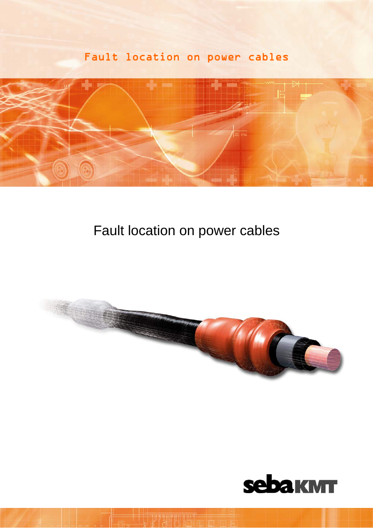# Fault location on power cables



# Fault location on power cables



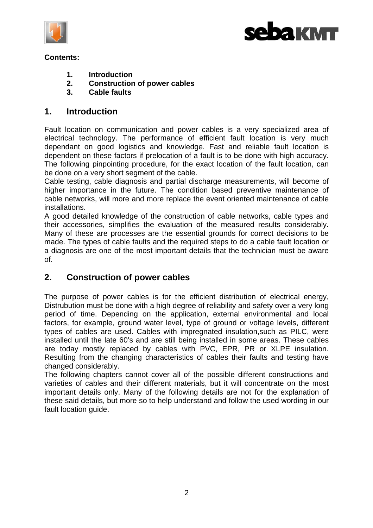



#### **Contents:**

- **1. Introduction**
- **2. Construction of power cables**
- **3. Cable faults**

# **1. Introduction**

Fault location on communication and power cables is a very specialized area of electrical technology. The performance of efficient fault location is very much dependant on good logistics and knowledge. Fast and reliable fault location is dependent on these factors if prelocation of a fault is to be done with high accuracy. The following pinpointing procedure, for the exact location of the fault location, can be done on a very short segment of the cable.

Cable testing, cable diagnosis and partial discharge measurements, will become of higher importance in the future. The condition based preventive maintenance of cable networks, will more and more replace the event oriented maintenance of cable installations.

A good detailed knowledge of the construction of cable networks, cable types and their accessories, simplifies the evaluation of the measured results considerably. Many of these are processes are the essential grounds for correct decisions to be made. The types of cable faults and the required steps to do a cable fault location or a diagnosis are one of the most important details that the technician must be aware of.

# **2. Construction of power cables**

The purpose of power cables is for the efficient distribution of electrical energy, Distrubution must be done with a high degree of reliability and safety over a very long period of time. Depending on the application, external environmental and local factors, for example, ground water level, type of ground or voltage levels, different types of cables are used. Cables with impregnated insulation,such as PILC, were installed until the late 60's and are still being installed in some areas. These cables are today mostly replaced by cables with PVC, EPR, PR or XLPE insulation. Resulting from the changing characteristics of cables their faults and testing have changed considerably.

The following chapters cannot cover all of the possible different constructions and varieties of cables and their different materials, but it will concentrate on the most important details only. Many of the following details are not for the explanation of these said details, but more so to help understand and follow the used wording in our fault location guide.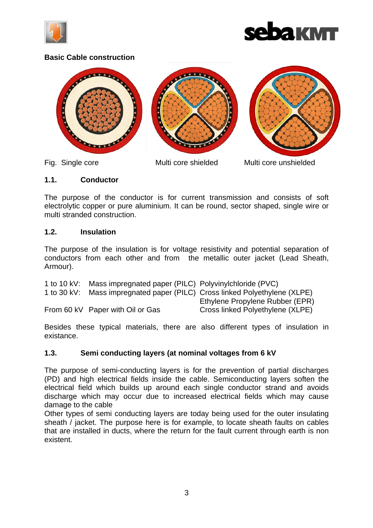



#### **Basic Cable construction**



Fig. Single core Multi core shielded Multi core unshielded

#### **1.1. Conductor**

The purpose of the conductor is for current transmission and consists of soft electrolytic copper or pure aluminium. It can be round, sector shaped, single wire or multi stranded construction.

#### **1.2. Insulation**

The purpose of the insulation is for voltage resistivity and potential separation of conductors from each other and from the metallic outer jacket (Lead Sheath, Armour).

| 1 to 10 kV:   | Mass impregnated paper (PILC) Polyvinylchloride (PVC) |                                                                |
|---------------|-------------------------------------------------------|----------------------------------------------------------------|
| 1 to $30$ kV: |                                                       | Mass impregnated paper (PILC) Cross linked Polyethylene (XLPE) |
|               |                                                       | Ethylene Propylene Rubber (EPR)                                |
|               | From 60 kV Paper with Oil or Gas                      | Cross linked Polyethylene (XLPE)                               |

Besides these typical materials, there are also different types of insulation in existance.

#### **1.3. Semi conducting layers (at nominal voltages from 6 kV**

The purpose of semi-conducting layers is for the prevention of partial discharges (PD) and high electrical fields inside the cable. Semiconducting layers soften the electrical field which builds up around each single conductor strand and avoids discharge which may occur due to increased electrical fields which may cause damage to the cable

Other types of semi conducting layers are today being used for the outer insulating sheath / jacket. The purpose here is for example, to locate sheath faults on cables that are installed in ducts, where the return for the fault current through earth is non existent.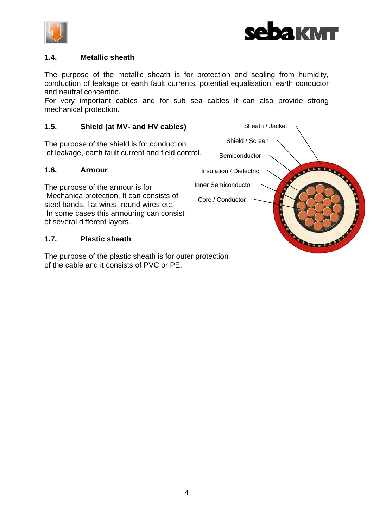



#### **1.4. Metallic sheath**

The purpose of the metallic sheath is for protection and sealing from humidity, conduction of leakage or earth fault currents, potential equalisation, earth conductor and neutral concentric.

For very important cables and for sub sea cables it can also provide strong mechanical protection.

#### **1.5. Shield (at MV- and HV cables)**

The purpose of the shield is for conduction of leakage, earth fault current and field control.

#### **1.6. Armour**

The purpose of the armour is for Mechanica protection, It can consists of steel bands, flat wires, round wires etc. In some cases this armouring can consist of several different layers.

#### **1.7. Plastic sheath**

The purpose of the plastic sheath is for outer protection of the cable and it consists of PVC or PE.

Sheath / Jacket Shield / Screen Semiconductor  $100000$ Insulation / Dielectric Inner Semiconductor Core / Conductor **CONTROLLER**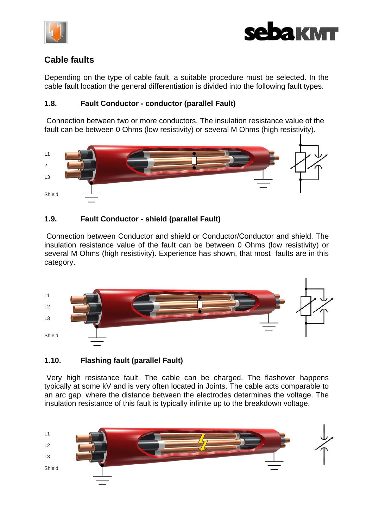



# **Cable faults**

Depending on the type of cable fault, a suitable procedure must be selected. In the cable fault location the general differentiation is divided into the following fault types.

## **1.8. Fault Conductor - conductor (parallel Fault)**

 Connection between two or more conductors. The insulation resistance value of the fault can be between 0 Ohms (low resistivity) or several M Ohms (high resistivity).



## **1.9. Fault Conductor - shield (parallel Fault)**

 Connection between Conductor and shield or Conductor/Conductor and shield. The insulation resistance value of the fault can be between 0 Ohms (low resistivity) or several M Ohms (high resistivity). Experience has shown, that most faults are in this category.



# **1.10. Flashing fault (parallel Fault)**

 Very high resistance fault. The cable can be charged. The flashover happens typically at some kV and is very often located in Joints. The cable acts comparable to an arc gap, where the distance between the electrodes determines the voltage. The insulation resistance of this fault is typically infinite up to the breakdown voltage.

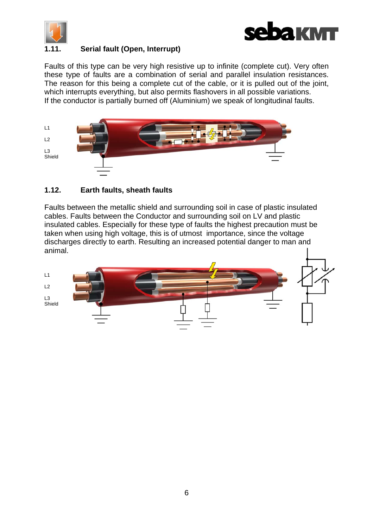



## **1.11. Serial fault (Open, Interrupt)**

Faults of this type can be very high resistive up to infinite (complete cut). Very often these type of faults are a combination of serial and parallel insulation resistances. The reason for this being a complete cut of the cable, or it is pulled out of the joint, which interrupts everything, but also permits flashovers in all possible variations. If the conductor is partially burned off (Aluminium) we speak of longitudinal faults.



## **1.12. Earth faults, sheath faults**

Faults between the metallic shield and surrounding soil in case of plastic insulated cables. Faults between the Conductor and surrounding soil on LV and plastic insulated cables. Especially for these type of faults the highest precaution must be taken when using high voltage, this is of utmost importance, since the voltage discharges directly to earth. Resulting an increased potential danger to man and animal.